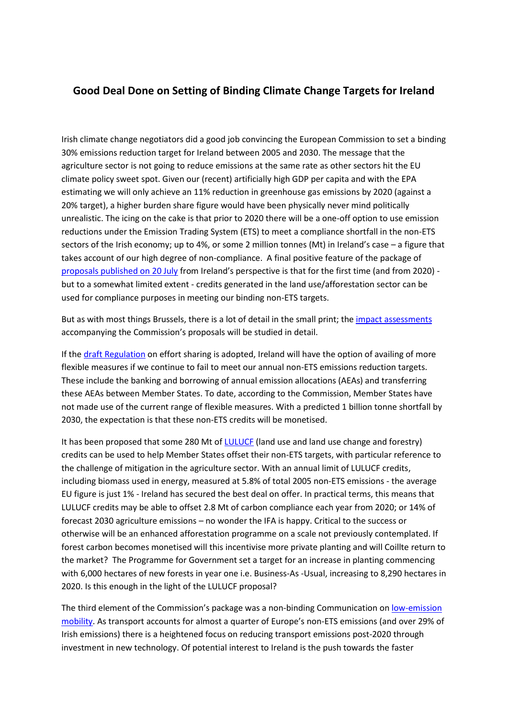## **Good Deal Done on Setting of Binding Climate Change Targets for Ireland**

Irish climate change negotiators did a good job convincing the European Commission to set a binding 30% emissions reduction target for Ireland between 2005 and 2030. The message that the agriculture sector is not going to reduce emissions at the same rate as other sectors hit the EU climate policy sweet spot. Given our (recent) artificially high GDP per capita and with the EPA estimating we will only achieve an 11% reduction in greenhouse gas emissions by 2020 (against a 20% target), a higher burden share figure would have been physically never mind politically unrealistic. The icing on the cake is that prior to 2020 there will be a one-off option to use emission reductions under the Emission Trading System (ETS) to meet a compliance shortfall in the non-ETS sectors of the Irish economy; up to 4%, or some 2 million tonnes (Mt) in Ireland's case – a figure that takes account of our high degree of non-compliance. A final positive feature of the package of [proposals published on 20 July](http://ec.europa.eu/clima/news/articles/news_2016072001_en.htm) from Ireland's perspective is that for the first time (and from 2020) but to a somewhat limited extent - credits generated in the land use/afforestation sector can be used for compliance purposes in meeting our binding non-ETS targets.

But as with most things Brussels, there is a lot of detail in the small print; the [impact assessments](http://ec.europa.eu/clima/news/docs/20160720__impact_assessment_1_en.pdf) accompanying the Commission's proposals will be studied in detail.

If the [draft Regulation](http://ec.europa.eu/transparency/regdoc/rep/1/2016/EN/1-2016-482-EN-F1-1.PDF) on effort sharing is adopted, Ireland will have the option of availing of more flexible measures if we continue to fail to meet our annual non-ETS emissions reduction targets. These include the banking and borrowing of annual emission allocations (AEAs) and transferring these AEAs between Member States. To date, according to the Commission, Member States have not made use of the current range of flexible measures. With a predicted 1 billion tonne shortfall by 2030, the expectation is that these non-ETS credits will be monetised.

It has been proposed that some 280 Mt of [LULUCF](http://ec.europa.eu/transparency/regdoc/rep/1/2016/EN/1-2016-479-EN-F1-1.PDF) (land use and land use change and forestry) credits can be used to help Member States offset their non-ETS targets, with particular reference to the challenge of mitigation in the agriculture sector. With an annual limit of LULUCF credits, including biomass used in energy, measured at 5.8% of total 2005 non-ETS emissions - the average EU figure is just 1% - Ireland has secured the best deal on offer. In practical terms, this means that LULUCF credits may be able to offset 2.8 Mt of carbon compliance each year from 2020; or 14% of forecast 2030 agriculture emissions – no wonder the IFA is happy. Critical to the success or otherwise will be an enhanced afforestation programme on a scale not previously contemplated. If forest carbon becomes monetised will this incentivise more private planting and will Coillte return to the market? The Programme for Government set a target for an increase in planting commencing with 6,000 hectares of new forests in year one i.e. Business-As -Usual, increasing to 8,290 hectares in 2020. Is this enough in the light of the LULUCF proposal?

The third element of the Commission's package was a non-binding Communication on [low-emission](https://ec.europa.eu/transparency/regdoc/rep/1/2016/EN/1-2016-501-EN-F1-1.PDF)  [mobility.](https://ec.europa.eu/transparency/regdoc/rep/1/2016/EN/1-2016-501-EN-F1-1.PDF) As transport accounts for almost a quarter of Europe's non-ETS emissions (and over 29% of Irish emissions) there is a heightened focus on reducing transport emissions post-2020 through investment in new technology. Of potential interest to Ireland is the push towards the faster